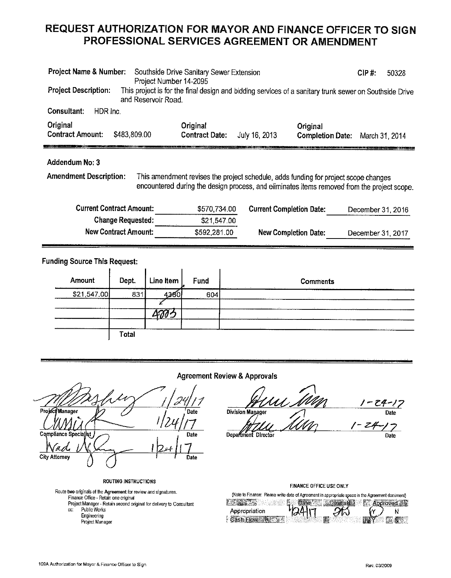### REQUEST AUTHORIZATION FOR MAYOR AND FINANCE OFFICER TO SIGN PROFESSIONAL SERVICES AGREEMENT OR AMENDMENT

| Project Name & Number:<br><b>Project Description:</b><br>and Reservoir Road. | Southside Drive Sanitary Sewer Extension<br>Project Number 14-2095 |                                                                                     | CIP#<br>50328<br>This project is for the final design and bidding services of a sanitary trunk sewer on Southside Drive |
|------------------------------------------------------------------------------|--------------------------------------------------------------------|-------------------------------------------------------------------------------------|-------------------------------------------------------------------------------------------------------------------------|
| Consultant:<br>HDR Inc.                                                      |                                                                    |                                                                                     |                                                                                                                         |
| Original<br><b>Contract Amount:</b><br>\$483,809.00                          | Original<br><b>Contract Date:</b>                                  | Original<br>July 16, 2013                                                           | <b>Completion Date:</b><br>March 31, 2014                                                                               |
| Addendum No: 3<br><b>Amendment Description:</b>                              |                                                                    | This amendment revises the project schedule, adds funding for project scope changes | encountered during the design process, and eliminates items removed from the project scope.                             |
| <b>Current Contract Amount:</b>                                              | \$570,734.00                                                       | <b>Current Completion Date:</b>                                                     | December 31, 2016                                                                                                       |
| <b>Change Requested:</b>                                                     | \$21,547.00                                                        |                                                                                     |                                                                                                                         |
| <b>New Contract Amount:</b>                                                  | \$592,281.00                                                       | <b>New Completion Date:</b>                                                         | December 31, 2017                                                                                                       |
| <b>Funding Source This Request:</b>                                          |                                                                    |                                                                                     |                                                                                                                         |

| Amount      |              | Dept.   Line Item | Fund           | <b>Comments</b>          |
|-------------|--------------|-------------------|----------------|--------------------------|
| \$21,547.00 | 83           |                   | $\cdots$<br>60 | <b>Contract Contract</b> |
|             |              |                   |                |                          |
|             |              |                   |                |                          |
|             |              |                   |                |                          |
|             | <b>Total</b> |                   |                |                          |

#### **Agreement Review & Approvals**

Project Manager Date Compliance Specialist Date 'n g **City Attorney** Date

**ROUTING INSTRUCTIONS** 

Route two originals of the Agreement for review and signatures. Finance Office - Retain one original Project Manager - Retain second original for delivery to Consultant Public Works CC.

- Engineering
- Project Manager

 $24 - 17$ **Division Manager** Date - 24

Department Director

Date

#### **FINANCE OFFICE USE ONLY**

(Note to Finance: Please write date of Agreement in appropriate space in the Agreement document) **BASES Services** ( Date ) United Structures ( Approved 2

| Appropriation     | 2417 |                                                |     |
|-------------------|------|------------------------------------------------|-----|
| Cash Flow Reserve |      | $\sim$ $\mathbf{W}$ $\mathbf{Y}$ $\sim$ $\sim$ | A S |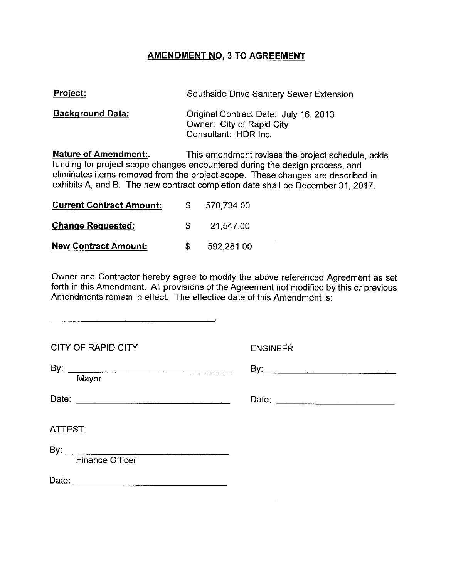#### **AMENDMENT NO. 3 TO AGREEMENT**

| <b>Project:</b>         | Southside Drive Sanitary Sewer Extension                                                   |
|-------------------------|--------------------------------------------------------------------------------------------|
| <b>Background Data:</b> | Original Contract Date: July 16, 2013<br>Owner: City of Rapid City<br>Consultant: HDR Inc. |
| Naturo of Amondmont:    | This amondment revises the project schoolule                                               |

**Nature of Amendment:** This amendment revises the project schedule, adds funding for project scope changes encountered during the design process, and eliminates items removed from the project scope. These changes are described in exhibits A, and B. The new contract completion date shall be December 31, 2017.

| <b>Current Contract Amount:</b> | S  | 570,734.00 |
|---------------------------------|----|------------|
| <b>Change Requested:</b>        | £. | 21,547.00  |
| <b>New Contract Amount:</b>     | S. | 592,281.00 |

Owner and Contractor hereby agree to modify the above referenced Agreement as set forth in this Amendment. All provisions of the Agreement not modified by this or previous Amendments remain in effect. The effective date of this Amendment is:

| <b>CITY OF RAPID CITY</b> | <b>ENGINEER</b> |
|---------------------------|-----------------|
| Mayor                     |                 |
|                           | Date:           |
| ATTEST:                   |                 |
| <b>Finance Officer</b>    |                 |
|                           |                 |

 $\sim$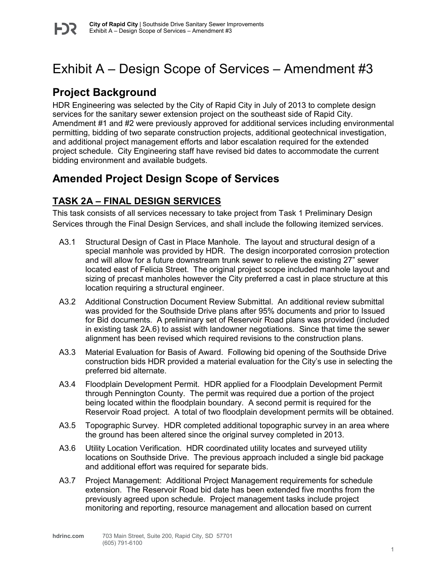# Exhibit A – Design Scope of Services – Amendment #3

## **Project Background**

HDR Engineering was selected by the City of Rapid City in July of 2013 to complete design services for the sanitary sewer extension project on the southeast side of Rapid City. Amendment #1 and #2 were previously approved for additional services including environmental permitting, bidding of two separate construction projects, additional geotechnical investigation, and additional project management efforts and labor escalation required for the extended project schedule. City Engineering staff have revised bid dates to accommodate the current bidding environment and available budgets.

### **Amended Project Design Scope of Services**

### **TASK 2A – FINAL DESIGN SERVICES**

This task consists of all services necessary to take project from Task 1 Preliminary Design Services through the Final Design Services, and shall include the following itemized services.

- A3.1 Structural Design of Cast in Place Manhole. The layout and structural design of a special manhole was provided by HDR. The design incorporated corrosion protection and will allow for a future downstream trunk sewer to relieve the existing 27" sewer located east of Felicia Street. The original project scope included manhole layout and sizing of precast manholes however the City preferred a cast in place structure at this location requiring a structural engineer.
- A3.2 Additional Construction Document Review Submittal. An additional review submittal was provided for the Southside Drive plans after 95% documents and prior to Issued for Bid documents. A preliminary set of Reservoir Road plans was provided (included in existing task 2A.6) to assist with landowner negotiations. Since that time the sewer alignment has been revised which required revisions to the construction plans.
- A3.3 Material Evaluation for Basis of Award. Following bid opening of the Southside Drive construction bids HDR provided a material evaluation for the City's use in selecting the preferred bid alternate.
- A3.4 Floodplain Development Permit. HDR applied for a Floodplain Development Permit through Pennington County. The permit was required due a portion of the project being located within the floodplain boundary. A second permit is required for the Reservoir Road project. A total of two floodplain development permits will be obtained.
- A3.5 Topographic Survey. HDR completed additional topographic survey in an area where the ground has been altered since the original survey completed in 2013.
- A3.6 Utility Location Verification. HDR coordinated utility locates and surveyed utility locations on Southside Drive. The previous approach included a single bid package and additional effort was required for separate bids.
- A3.7 Project Management: Additional Project Management requirements for schedule extension. The Reservoir Road bid date has been extended five months from the previously agreed upon schedule. Project management tasks include project monitoring and reporting, resource management and allocation based on current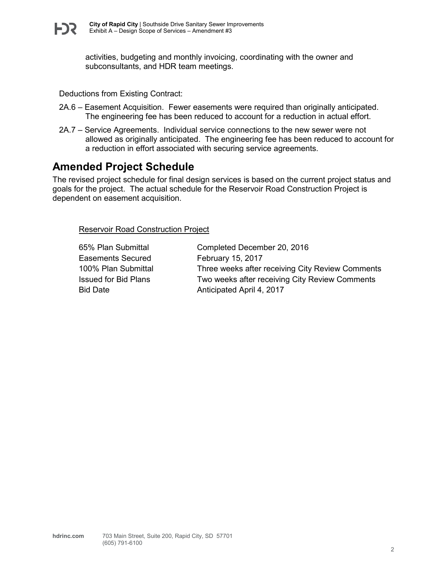activities, budgeting and monthly invoicing, coordinating with the owner and subconsultants, and HDR team meetings.

Deductions from Existing Contract:

- 2A.6 Easement Acquisition. Fewer easements were required than originally anticipated. The engineering fee has been reduced to account for a reduction in actual effort.
- 2A.7 Service Agreements. Individual service connections to the new sewer were not allowed as originally anticipated. The engineering fee has been reduced to account for a reduction in effort associated with securing service agreements.

### **Amended Project Schedule**

The revised project schedule for final design services is based on the current project status and goals for the project. The actual schedule for the Reservoir Road Construction Project is dependent on easement acquisition.

Reservoir Road Construction Project

Easements Secured February 15, 2017

65% Plan Submittal Completed December 20, 2016 100% Plan Submittal Three weeks after receiving City Review Comments Issued for Bid Plans Two weeks after receiving City Review Comments Bid Date **Anticipated April 4, 2017**